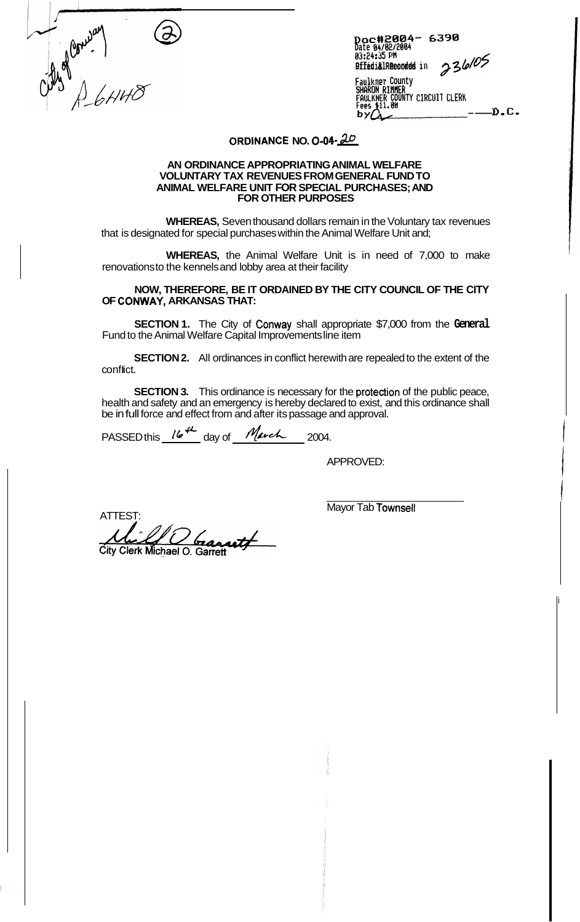

*Dcc##20@4-* **63913 Date 04/02/2064** 

**85:24:35 PH**<br> **BifediålRecorded in** 236/05<br>
Faulkner County<br> **SHARON RIMER**<br> **FAULKNER COUNTY CIRCUIT CLERK**<br> **FAULKNER COUNTY CIRCUIT CLERK**<br> **P. C. Faulkner County SHRKON RIflflEH FaULKtiEH COUNTY CIRCUIT CLERK** 

## **ORDJIANCE NO.** *0-01* - *tW*

## **AN ORDINANCE APPROPRIATING ANIMAL WELFARE VOLUNTARY TAX REVENUES FROM GENERAL FUND TO ANIMAL WELFARE UNIT FOR SPECIAL PURCHASES; AND FOR OTHER PURPOSES**

**WHEREAS,** Seven thousand dollars remain in the Voluntary tax revenues that is designated for special purchases within the Animal Welfare Unit and;

**WHEREAS,** the Animal Welfare Unit is in need of 7,000 to make renovations to the kennels and lobby area at their facility

**NOW, THEREFORE, BE IT ORDAINED BY THE CITY COUNCIL OF THE CITY OF CONWAY, ARKANSAS THAT:** 

**SECTION 1.** The City of Conway shall appropriate \$7,000 from the **General**  Fund to the Animal Welfare Capital Improvements line item

**SECTION 2.** All ordinances in conflict herewith are repealed to the extent of the conflict.

**SECTION 3.** This ordinance is necessary for the protection of the public peace, health and safety and an emergency is hereby declared to exist, and this ordinance shall be in full force and effect from and after its passage and approval.

PASSED this <u>16<sup>th</sup></u> day of *March* 2004.

APPROVED:

ATTEST: AND TOWNSELL ATTEST AND THE ST.  $\mathfrak{b}_{\mathfrak{a}}$ utf City Clerk Michael O. Garrett